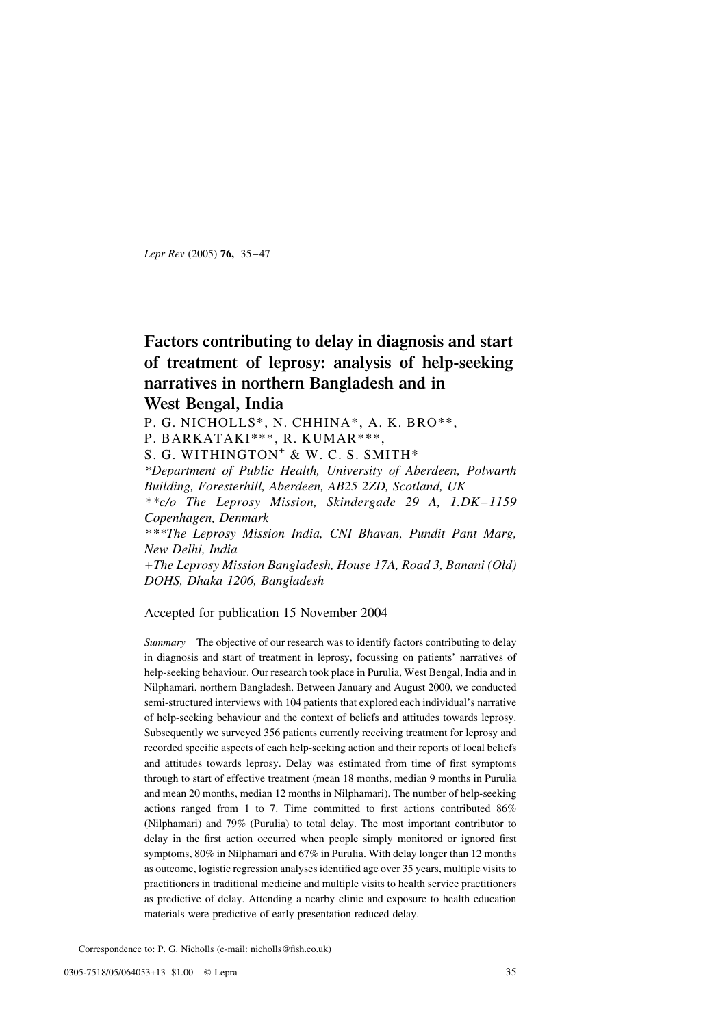Lepr Rev (2005) 76, 35–47

## Factors contributing to delay in diagnosis and start of treatment of leprosy: analysis of help-seeking narratives in northern Bangladesh and in

## West Bengal, India

P. G. NICHOLLS\*, N. CHHINA\*, A. K. BRO\*\*,

P. BARKATAKI\*\*\*, R. KUMAR\*\*\*,

S. G. WITHINGTON<sup>+</sup> & W. C. S. SMITH<sup>\*</sup>

\*Department of Public Health, University of Aberdeen, Polwarth Building, Foresterhill, Aberdeen, AB25 2ZD, Scotland, UK \*\*c/o The Leprosy Mission, Skindergade 29 A, 1.DK–1159

Copenhagen, Denmark

\*\*\*The Leprosy Mission India, CNI Bhavan, Pundit Pant Marg, New Delhi, India

+The Leprosy Mission Bangladesh, House 17A, Road 3, Banani (Old) DOHS, Dhaka 1206, Bangladesh

## Accepted for publication 15 November 2004

Summary The objective of our research was to identify factors contributing to delay in diagnosis and start of treatment in leprosy, focussing on patients' narratives of help-seeking behaviour. Our research took place in Purulia, West Bengal, India and in Nilphamari, northern Bangladesh. Between January and August 2000, we conducted semi-structured interviews with 104 patients that explored each individual's narrative of help-seeking behaviour and the context of beliefs and attitudes towards leprosy. Subsequently we surveyed 356 patients currently receiving treatment for leprosy and recorded specific aspects of each help-seeking action and their reports of local beliefs and attitudes towards leprosy. Delay was estimated from time of first symptoms through to start of effective treatment (mean 18 months, median 9 months in Purulia and mean 20 months, median 12 months in Nilphamari). The number of help-seeking actions ranged from 1 to 7. Time committed to first actions contributed 86% (Nilphamari) and 79% (Purulia) to total delay. The most important contributor to delay in the first action occurred when people simply monitored or ignored first symptoms, 80% in Nilphamari and 67% in Purulia. With delay longer than 12 months as outcome, logistic regression analyses identified age over 35 years, multiple visits to practitioners in traditional medicine and multiple visits to health service practitioners as predictive of delay. Attending a nearby clinic and exposure to health education materials were predictive of early presentation reduced delay.

Correspondence to: P. G. Nicholls (e-mail: nicholls@fish.co.uk)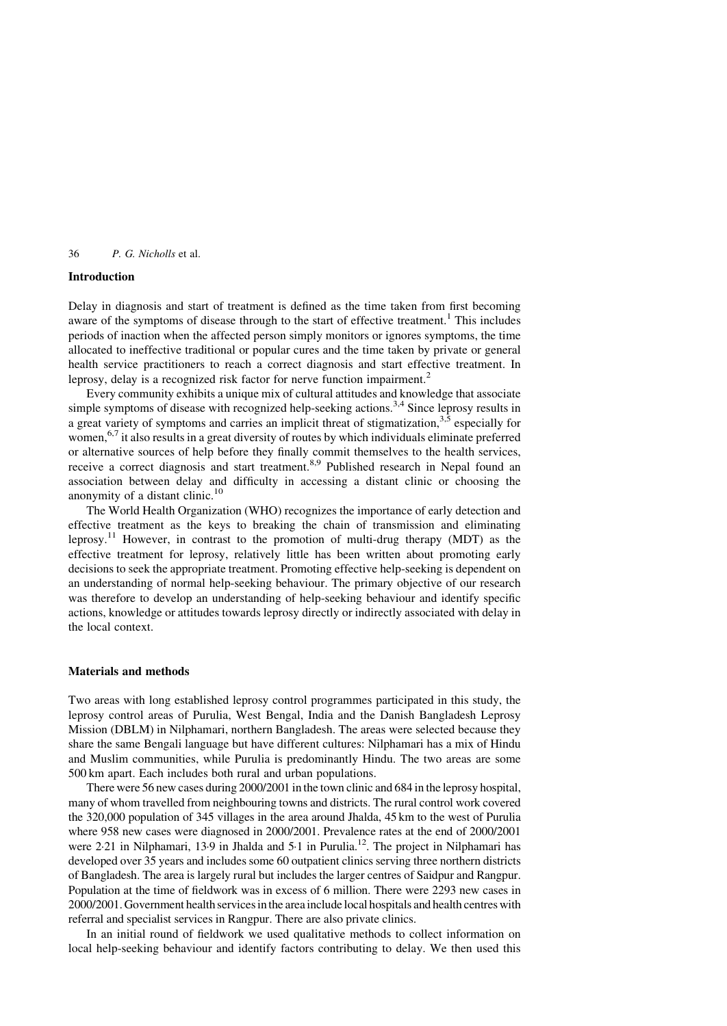#### Introduction

Delay in diagnosis and start of treatment is defined as the time taken from first becoming aware of the symptoms of disease through to the start of effective treatment.<sup>[1](#page-12-0)</sup> This includes periods of inaction when the affected person simply monitors or ignores symptoms, the time allocated to ineffective traditional or popular cures and the time taken by private or general health service practitioners to reach a correct diagnosis and start effective treatment. In leprosy, delay is a recognized risk factor for nerve function impairment.<sup>[2](#page-12-0)</sup>

Every community exhibits a unique mix of cultural attitudes and knowledge that associate simple symptoms of disease with recognized help-seeking actions.<sup>[3,4](#page-12-0)</sup> Since leprosy results in a great variety of symptoms and carries an implicit threat of stigmatization,  $3.5$  especially for women,  $6.7$  it also results in a great diversity of routes by which individuals eliminate preferred or alternative sources of help before they finally commit themselves to the health services, receive a correct diagnosis and start treatment.<sup>[8,9](#page-12-0)</sup> Published research in Nepal found an association between delay and difficulty in accessing a distant clinic or choosing the anonymity of a distant clinic.<sup>[10](#page-12-0)</sup>

The World Health Organization (WHO) recognizes the importance of early detection and effective treatment as the keys to breaking the chain of transmission and eliminating leprosy.[11](#page-12-0) However, in contrast to the promotion of multi-drug therapy (MDT) as the effective treatment for leprosy, relatively little has been written about promoting early decisions to seek the appropriate treatment. Promoting effective help-seeking is dependent on an understanding of normal help-seeking behaviour. The primary objective of our research was therefore to develop an understanding of help-seeking behaviour and identify specific actions, knowledge or attitudes towards leprosy directly or indirectly associated with delay in the local context.

## Materials and methods

Two areas with long established leprosy control programmes participated in this study, the leprosy control areas of Purulia, West Bengal, India and the Danish Bangladesh Leprosy Mission (DBLM) in Nilphamari, northern Bangladesh. The areas were selected because they share the same Bengali language but have different cultures: Nilphamari has a mix of Hindu and Muslim communities, while Purulia is predominantly Hindu. The two areas are some 500 km apart. Each includes both rural and urban populations.

There were 56 new cases during 2000/2001 in the town clinic and 684 in the leprosy hospital, many of whom travelled from neighbouring towns and districts. The rural control work covered the 320,000 population of 345 villages in the area around Jhalda, 45 km to the west of Purulia where 958 new cases were diagnosed in 2000/2001. Prevalence rates at the end of 2000/2001 were 2.21 in Nilphamari, 13.9 in Jhalda and 5.1 in Purulia.<sup>12</sup>. The project in Nilphamari has developed over 35 years and includes some 60 outpatient clinics serving three northern districts of Bangladesh. The area is largely rural but includes the larger centres of Saidpur and Rangpur. Population at the time of fieldwork was in excess of 6 million. There were 2293 new cases in 2000/2001. Government health services in the area include local hospitals and health centres with referral and specialist services in Rangpur. There are also private clinics.

In an initial round of fieldwork we used qualitative methods to collect information on local help-seeking behaviour and identify factors contributing to delay. We then used this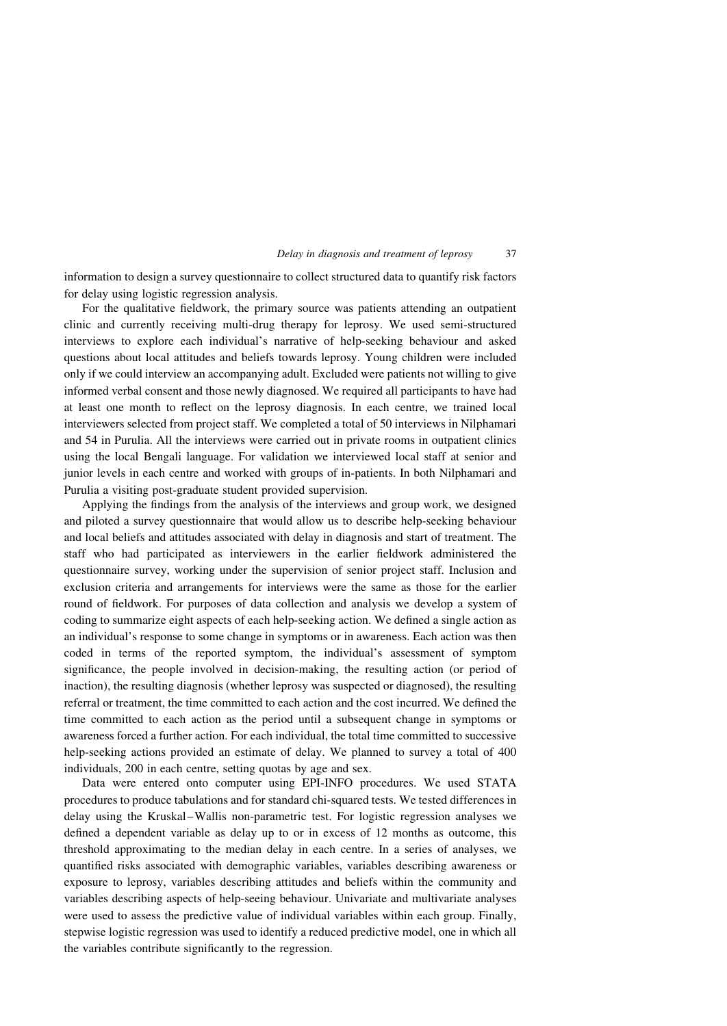#### Delay in diagnosis and treatment of leprosy 37

information to design a survey questionnaire to collect structured data to quantify risk factors for delay using logistic regression analysis.

For the qualitative fieldwork, the primary source was patients attending an outpatient clinic and currently receiving multi-drug therapy for leprosy. We used semi-structured interviews to explore each individual's narrative of help-seeking behaviour and asked questions about local attitudes and beliefs towards leprosy. Young children were included only if we could interview an accompanying adult. Excluded were patients not willing to give informed verbal consent and those newly diagnosed. We required all participants to have had at least one month to reflect on the leprosy diagnosis. In each centre, we trained local interviewers selected from project staff. We completed a total of 50 interviews in Nilphamari and 54 in Purulia. All the interviews were carried out in private rooms in outpatient clinics using the local Bengali language. For validation we interviewed local staff at senior and junior levels in each centre and worked with groups of in-patients. In both Nilphamari and Purulia a visiting post-graduate student provided supervision.

Applying the findings from the analysis of the interviews and group work, we designed and piloted a survey questionnaire that would allow us to describe help-seeking behaviour and local beliefs and attitudes associated with delay in diagnosis and start of treatment. The staff who had participated as interviewers in the earlier fieldwork administered the questionnaire survey, working under the supervision of senior project staff. Inclusion and exclusion criteria and arrangements for interviews were the same as those for the earlier round of fieldwork. For purposes of data collection and analysis we develop a system of coding to summarize eight aspects of each help-seeking action. We defined a single action as an individual's response to some change in symptoms or in awareness. Each action was then coded in terms of the reported symptom, the individual's assessment of symptom significance, the people involved in decision-making, the resulting action (or period of inaction), the resulting diagnosis (whether leprosy was suspected or diagnosed), the resulting referral or treatment, the time committed to each action and the cost incurred. We defined the time committed to each action as the period until a subsequent change in symptoms or awareness forced a further action. For each individual, the total time committed to successive help-seeking actions provided an estimate of delay. We planned to survey a total of 400 individuals, 200 in each centre, setting quotas by age and sex.

Data were entered onto computer using EPI-INFO procedures. We used STATA procedures to produce tabulations and for standard chi-squared tests. We tested differences in delay using the Kruskal–Wallis non-parametric test. For logistic regression analyses we defined a dependent variable as delay up to or in excess of 12 months as outcome, this threshold approximating to the median delay in each centre. In a series of analyses, we quantified risks associated with demographic variables, variables describing awareness or exposure to leprosy, variables describing attitudes and beliefs within the community and variables describing aspects of help-seeing behaviour. Univariate and multivariate analyses were used to assess the predictive value of individual variables within each group. Finally, stepwise logistic regression was used to identify a reduced predictive model, one in which all the variables contribute significantly to the regression.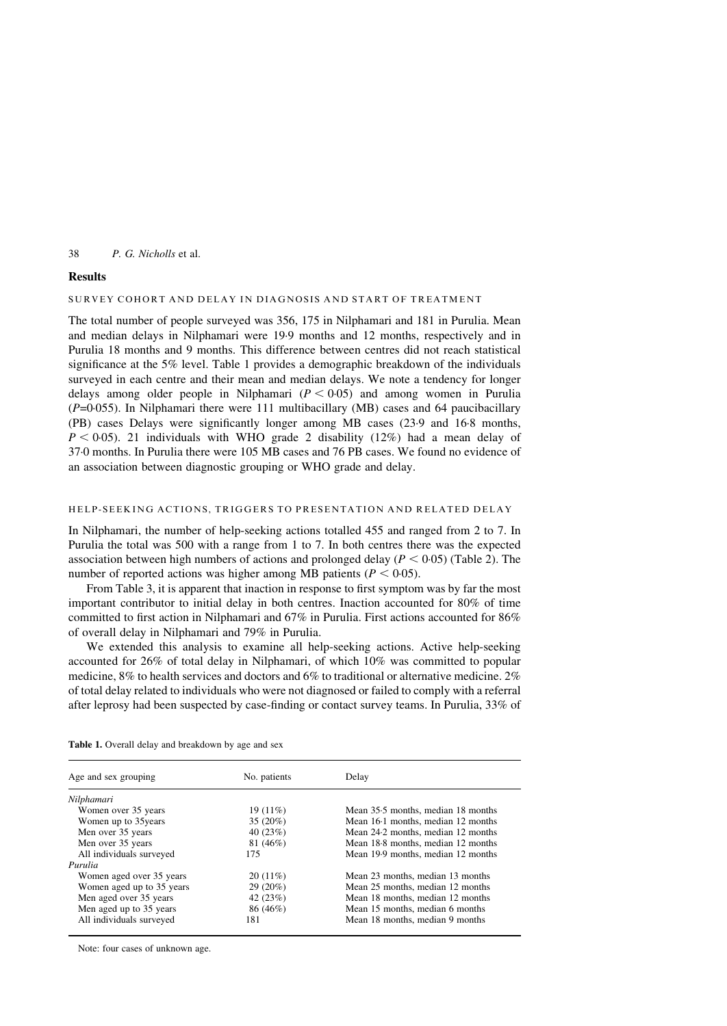## **Results**

## SURVEY COHORT AND DELAY IN DIAGNOSIS AND START OF TREATMENT

The total number of people surveyed was 356, 175 in Nilphamari and 181 in Purulia. Mean and median delays in Nilphamari were 19·9 months and 12 months, respectively and in Purulia 18 months and 9 months. This difference between centres did not reach statistical significance at the 5% level. Table 1 provides a demographic breakdown of the individuals surveyed in each centre and their mean and median delays. We note a tendency for longer delays among older people in Nilphamari  $(P < 0.05)$  and among women in Purulia  $(P=0.055)$ . In Nilphamari there were 111 multibacillary (MB) cases and 64 paucibacillary (PB) cases Delays were significantly longer among MB cases (23·9 and 16·8 months,  $P < 0.05$ ). 21 individuals with WHO grade 2 disability (12%) had a mean delay of 37·0 months. In Purulia there were 105 MB cases and 76 PB cases. We found no evidence of an association between diagnostic grouping or WHO grade and delay.

## HELP-SEEKING ACTIONS, TRIGGERS TO PRESENTATION AND RELATED DELAY

In Nilphamari, the number of help-seeking actions totalled 455 and ranged from 2 to 7. In Purulia the total was 500 with a range from 1 to 7. In both centres there was the expected association between high numbers of actions and prolonged delay ( $P < 0.05$ ) [\(Table 2\)](#page-4-0). The number of reported actions was higher among MB patients ( $P < 0.05$ ).

From [Table 3,](#page-4-0) it is apparent that inaction in response to first symptom was by far the most important contributor to initial delay in both centres. Inaction accounted for 80% of time committed to first action in Nilphamari and 67% in Purulia. First actions accounted for 86% of overall delay in Nilphamari and 79% in Purulia.

We extended this analysis to examine all help-seeking actions. Active help-seeking accounted for 26% of total delay in Nilphamari, of which 10% was committed to popular medicine, 8% to health services and doctors and 6% to traditional or alternative medicine. 2% of total delay related to individuals who were not diagnosed or failed to comply with a referral after leprosy had been suspected by case-finding or contact survey teams. In Purulia, 33% of

| Age and sex grouping      | No. patients | Delay                              |
|---------------------------|--------------|------------------------------------|
| Nilphamari                |              |                                    |
| Women over 35 years       | 19 (11%)     | Mean 35.5 months, median 18 months |
| Women up to 35years       | $35(20\%)$   | Mean 16.1 months, median 12 months |
| Men over 35 years         | 40(23%)      | Mean 24.2 months, median 12 months |
| Men over 35 years         | 81 (46%)     | Mean 18.8 months, median 12 months |
| All individuals surveyed  | 175          | Mean 19.9 months, median 12 months |
| Purulia                   |              |                                    |
| Women aged over 35 years  | $20(11\%)$   | Mean 23 months, median 13 months   |
| Women aged up to 35 years | 29 (20%)     | Mean 25 months, median 12 months   |
| Men aged over 35 years    | 42 (23%)     | Mean 18 months, median 12 months   |
| Men aged up to 35 years   | 86 (46%)     | Mean 15 months, median 6 months    |
| All individuals surveyed  | 181          | Mean 18 months, median 9 months    |

Table 1. Overall delay and breakdown by age and sex

Note: four cases of unknown age.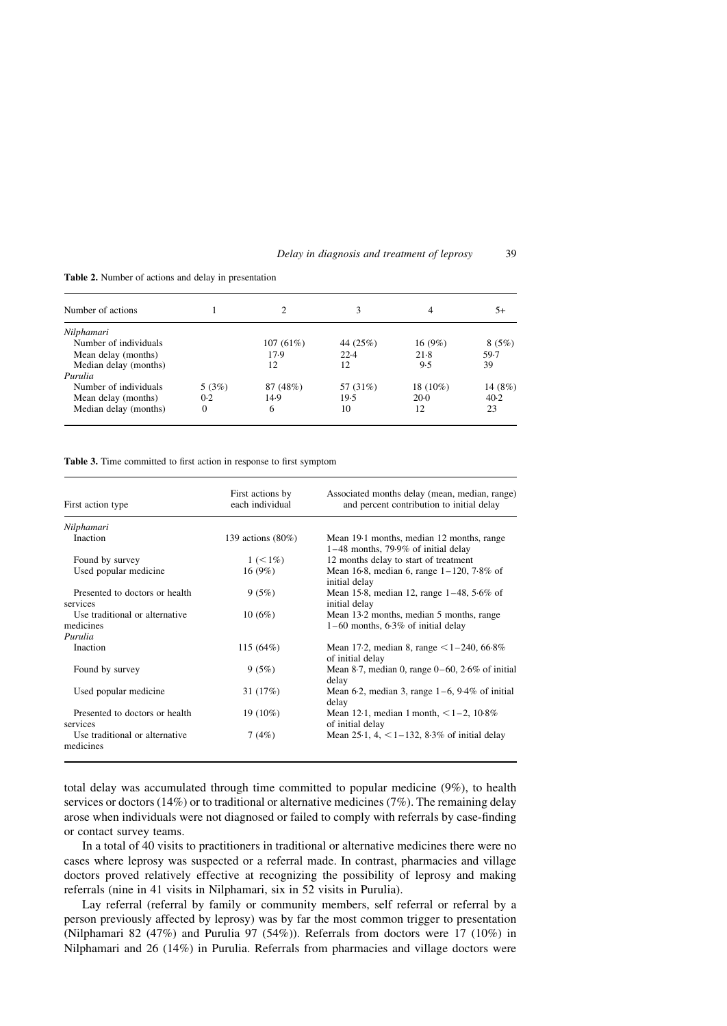|  |  | Delay in diagnosis and treatment of leprosy |  | 39 |
|--|--|---------------------------------------------|--|----|
|--|--|---------------------------------------------|--|----|

| Number of actions     |          | 2        | 3        | 4        | 5+      |
|-----------------------|----------|----------|----------|----------|---------|
| Nilphamari            |          |          |          |          |         |
| Number of individuals |          | 107(61%) | 44 (25%) | 16(9%)   | 8(5%)   |
| Mean delay (months)   |          | 17.9     | 22.4     | 21.8     | 59.7    |
| Median delay (months) |          | 12       | 12       | 9.5      | 39      |
| Purulia               |          |          |          |          |         |
| Number of individuals | 5(3%)    | 87 (48%) | 57 (31%) | 18 (10%) | 14 (8%) |
| Mean delay (months)   | 0.2      | 14.9     | 19.5     | $20-0$   | 40.2    |
| Median delay (months) | $\Omega$ | 6        | 10       | 12       | 23      |

<span id="page-4-0"></span>Table 2. Number of actions and delay in presentation

Table 3. Time committed to first action in response to first symptom

| First action type                           | First actions by<br>each individual | Associated months delay (mean, median, range)<br>and percent contribution to initial delay |
|---------------------------------------------|-------------------------------------|--------------------------------------------------------------------------------------------|
| Nilphamari                                  |                                     |                                                                                            |
| <b>Inaction</b>                             | 139 actions $(80\%)$                | Mean 19.1 months, median 12 months, range<br>$1-48$ months, 79.9% of initial delay         |
| Found by survey                             | $1 (< 1\%)$                         | 12 months delay to start of treatment                                                      |
| Used popular medicine                       | 16(9%)                              | Mean 16.8, median 6, range $1 - 120$ , 7.8% of<br>initial delay                            |
| Presented to doctors or health<br>services  | 9(5%)                               | Mean 15.8, median 12, range $1-48$ , 5.6% of<br>initial delay                              |
| Use traditional or alternative<br>medicines | 10(6%)                              | Mean 13.2 months, median 5 months, range<br>$1-60$ months, 6.3% of initial delay           |
| Purulia                                     |                                     |                                                                                            |
| Inaction                                    | 115(64%)                            | Mean 17.2, median 8, range $\leq 1-240$ , 66.8%<br>of initial delay                        |
| Found by survey                             | 9(5%)                               | Mean 8.7, median 0, range $0-60$ , $2.6\%$ of initial<br>delay                             |
| Used popular medicine                       | 31 (17%)                            | Mean 6.2, median 3, range $1-6$ , $9.4\%$ of initial<br>delay                              |
| Presented to doctors or health<br>services  | $19(10\%)$                          | Mean 12.1, median 1 month, $\leq 1-2$ , 10.8%<br>of initial delay                          |
| Use traditional or alternative<br>medicines | 7(4%)                               | Mean 25.1, 4, $\leq$ 1–132, 8.3% of initial delay                                          |

total delay was accumulated through time committed to popular medicine (9%), to health services or doctors (14%) or to traditional or alternative medicines (7%). The remaining delay arose when individuals were not diagnosed or failed to comply with referrals by case-finding or contact survey teams.

In a total of 40 visits to practitioners in traditional or alternative medicines there were no cases where leprosy was suspected or a referral made. In contrast, pharmacies and village doctors proved relatively effective at recognizing the possibility of leprosy and making referrals (nine in 41 visits in Nilphamari, six in 52 visits in Purulia).

Lay referral (referral by family or community members, self referral or referral by a person previously affected by leprosy) was by far the most common trigger to presentation (Nilphamari 82 (47%) and Purulia 97 (54%)). Referrals from doctors were 17 (10%) in Nilphamari and 26 (14%) in Purulia. Referrals from pharmacies and village doctors were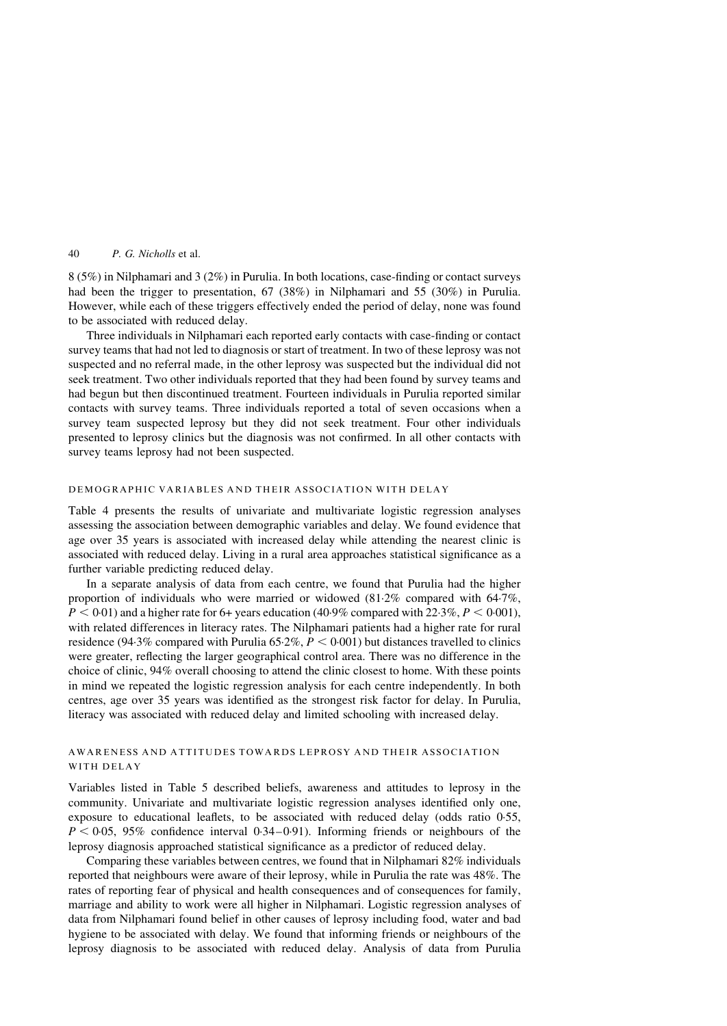8 (5%) in Nilphamari and 3 (2%) in Purulia. In both locations, case-finding or contact surveys had been the trigger to presentation, 67 (38%) in Nilphamari and 55 (30%) in Purulia. However, while each of these triggers effectively ended the period of delay, none was found to be associated with reduced delay.

Three individuals in Nilphamari each reported early contacts with case-finding or contact survey teams that had not led to diagnosis or start of treatment. In two of these leprosy was not suspected and no referral made, in the other leprosy was suspected but the individual did not seek treatment. Two other individuals reported that they had been found by survey teams and had begun but then discontinued treatment. Fourteen individuals in Purulia reported similar contacts with survey teams. Three individuals reported a total of seven occasions when a survey team suspected leprosy but they did not seek treatment. Four other individuals presented to leprosy clinics but the diagnosis was not confirmed. In all other contacts with survey teams leprosy had not been suspected.

#### DEMOGRAPHIC VARIABLES AND THEIR ASSOCIATION WITH DELAY

[Table 4](#page-6-0) presents the results of univariate and multivariate logistic regression analyses assessing the association between demographic variables and delay. We found evidence that age over 35 years is associated with increased delay while attending the nearest clinic is associated with reduced delay. Living in a rural area approaches statistical significance as a further variable predicting reduced delay.

In a separate analysis of data from each centre, we found that Purulia had the higher proportion of individuals who were married or widowed (81·2% compared with 64·7%,  $P < 0.01$ ) and a higher rate for 6+ years education (40.9% compared with 22.3%,  $P < 0.001$ ), with related differences in literacy rates. The Nilphamari patients had a higher rate for rural residence (94.3% compared with Purulia 65.2%,  $P < 0.001$ ) but distances travelled to clinics were greater, reflecting the larger geographical control area. There was no difference in the choice of clinic, 94% overall choosing to attend the clinic closest to home. With these points in mind we repeated the logistic regression analysis for each centre independently. In both centres, age over 35 years was identified as the strongest risk factor for delay. In Purulia, literacy was associated with reduced delay and limited schooling with increased delay.

## AWARENESS AND ATTITUDES TOWARDS LEPROSY AND THEIR ASSOCIATION WITH DELAY

Variables listed in [Table 5](#page-7-0) described beliefs, awareness and attitudes to leprosy in the community. Univariate and multivariate logistic regression analyses identified only one, exposure to educational leaflets, to be associated with reduced delay (odds ratio 0·55,  $P < 0.05$ , 95% confidence interval 0.34–0.91). Informing friends or neighbours of the leprosy diagnosis approached statistical significance as a predictor of reduced delay.

Comparing these variables between centres, we found that in Nilphamari 82% individuals reported that neighbours were aware of their leprosy, while in Purulia the rate was 48%. The rates of reporting fear of physical and health consequences and of consequences for family, marriage and ability to work were all higher in Nilphamari. Logistic regression analyses of data from Nilphamari found belief in other causes of leprosy including food, water and bad hygiene to be associated with delay. We found that informing friends or neighbours of the leprosy diagnosis to be associated with reduced delay. Analysis of data from Purulia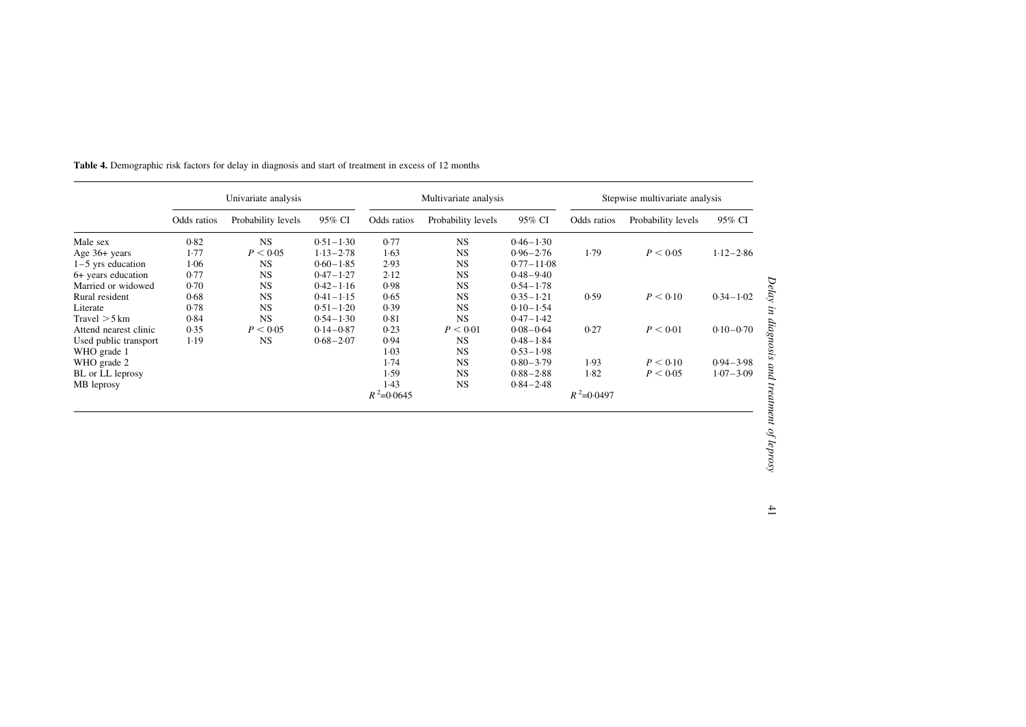|                       | Univariate analysis |                    |               | Multivariate analysis |                    |                |               | Stepwise multivariate analysis |               |  |
|-----------------------|---------------------|--------------------|---------------|-----------------------|--------------------|----------------|---------------|--------------------------------|---------------|--|
|                       | Odds ratios         | Probability levels | 95% CI        | Odds ratios           | Probability levels | 95% CI         | Odds ratios   | Probability levels             | 95% CI        |  |
| Male sex              | 0.82                | <b>NS</b>          | $0.51 - 1.30$ | 0.77                  | <b>NS</b>          | $0.46 - 1.30$  |               |                                |               |  |
| Age 36+ years         | 1.77                | P < 0.05           | $1.13 - 2.78$ | 1.63                  | <b>NS</b>          | $0.96 - 2.76$  | 1.79          | P < 0.05                       | $1.12 - 2.86$ |  |
| $1-5$ yrs education   | 1.06                | <b>NS</b>          | $0.60 - 1.85$ | 2.93                  | <b>NS</b>          | $0.77 - 11.08$ |               |                                |               |  |
| 6+ years education    | 0.77                | <b>NS</b>          | $0.47 - 1.27$ | 2.12                  | <b>NS</b>          | $0.48 - 9.40$  |               |                                |               |  |
| Married or widowed    | 0.70                | <b>NS</b>          | $0.42 - 1.16$ | 0.98                  | <b>NS</b>          | $0.54 - 1.78$  |               |                                |               |  |
| Rural resident        | 0.68                | <b>NS</b>          | $0.41 - 1.15$ | 0.65                  | <b>NS</b>          | $0.35 - 1.21$  | 0.59          | P < 0.10                       | $0.34 - 1.02$ |  |
| Literate              | 0.78                | <b>NS</b>          | $0.51 - 1.20$ | 0.39                  | <b>NS</b>          | $0.10 - 1.54$  |               |                                |               |  |
| Travel $>$ 5 km       | 0.84                | <b>NS</b>          | $0.54 - 1.30$ | 0.81                  | <b>NS</b>          | $0.47 - 1.42$  |               |                                |               |  |
| Attend nearest clinic | 0.35                | P < 0.05           | $0.14 - 0.87$ | 0.23                  | P < 0.01           | $0.08 - 0.64$  | 0.27          | P < 0.01                       | $0.10 - 0.70$ |  |
| Used public transport | 1.19                | <b>NS</b>          | $0.68 - 2.07$ | 0.94                  | <b>NS</b>          | $0.48 - 1.84$  |               |                                |               |  |
| WHO grade 1           |                     |                    |               | $1-03$                | <b>NS</b>          | $0.53 - 1.98$  |               |                                |               |  |
| WHO grade 2           |                     |                    |               | 1.74                  | <b>NS</b>          | $0.80 - 3.79$  | 1.93          | P < 0.10                       | $0.94 - 3.98$ |  |
| BL or LL leprosy      |                     |                    |               | 1.59                  | <b>NS</b>          | $0.88 - 2.88$  | 1.82          | P < 0.05                       | $1.07 - 3.09$ |  |
| MB leprosy            |                     |                    |               | 1.43                  | <b>NS</b>          | $0.84 - 2.48$  |               |                                |               |  |
|                       |                     |                    |               | $R^2$ =0.0645         |                    |                | $R^2$ =0.0497 |                                |               |  |
|                       |                     |                    |               |                       |                    |                |               |                                |               |  |
|                       |                     |                    |               |                       |                    |                |               |                                |               |  |
|                       |                     |                    |               |                       |                    |                |               |                                |               |  |
|                       |                     |                    |               |                       |                    |                |               |                                |               |  |
|                       |                     |                    |               |                       |                    |                |               |                                |               |  |

<span id="page-6-0"></span>**Table 4.** Demographic risk factors for delay in diagnosis and start of treatment in excess of 12 months

# 41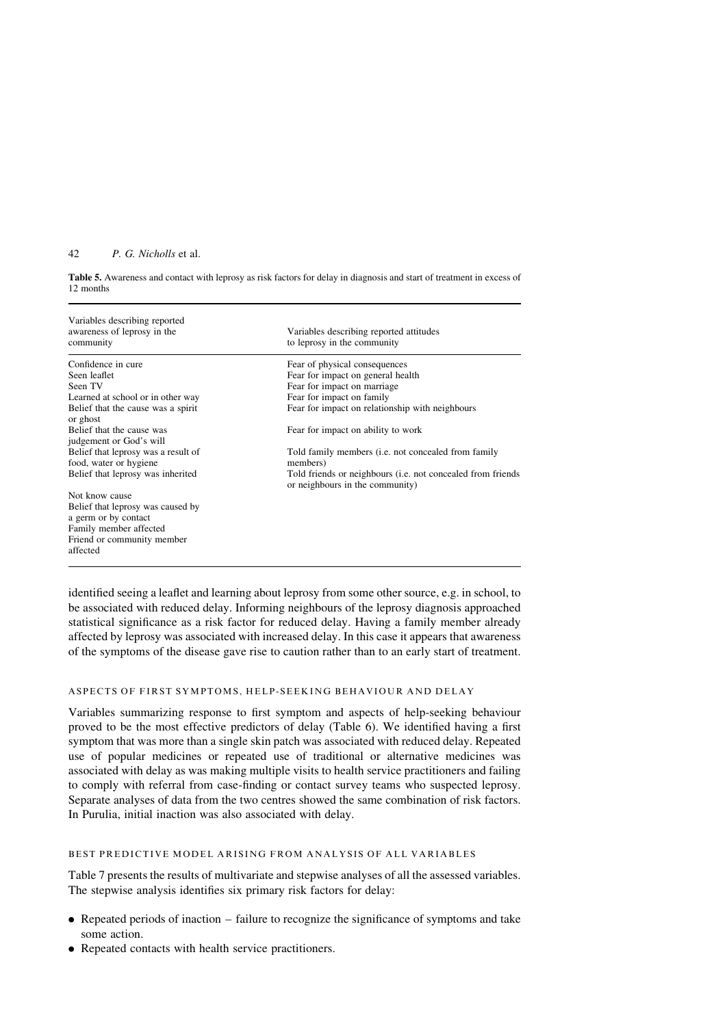<span id="page-7-0"></span>Table 5. Awareness and contact with leprosy as risk factors for delay in diagnosis and start of treatment in excess of 12 months

| Variables describing reported<br>awareness of leprosy in the<br>community           | Variables describing reported attitudes<br>to leprosy in the community                                 |
|-------------------------------------------------------------------------------------|--------------------------------------------------------------------------------------------------------|
| Confidence in cure                                                                  | Fear of physical consequences                                                                          |
| Seen leaflet                                                                        | Fear for impact on general health                                                                      |
| Seen TV                                                                             | Fear for impact on marriage                                                                            |
| Learned at school or in other way                                                   | Fear for impact on family                                                                              |
| Belief that the cause was a spirit<br>or ghost                                      | Fear for impact on relationship with neighbours                                                        |
| Belief that the cause was<br>judgement or God's will                                | Fear for impact on ability to work                                                                     |
| Belief that leprosy was a result of<br>food, water or hygiene                       | Told family members ( <i>i.e.</i> not concealed from family<br>members)                                |
| Belief that leprosy was inherited                                                   | Told friends or neighbours ( <i>i.e.</i> not concealed from friends<br>or neighbours in the community) |
| Not know cause                                                                      |                                                                                                        |
| Belief that leprosy was caused by<br>a germ or by contact<br>Family member affected |                                                                                                        |
| Friend or community member<br>affected                                              |                                                                                                        |

identified seeing a leaflet and learning about leprosy from some other source, e.g. in school, to be associated with reduced delay. Informing neighbours of the leprosy diagnosis approached statistical significance as a risk factor for reduced delay. Having a family member already affected by leprosy was associated with increased delay. In this case it appears that awareness of the symptoms of the disease gave rise to caution rather than to an early start of treatment.

## ASPECTS OF FIRST SYMPTOMS, HELP-SEEKING BEHAVIOUR AND DELAY

Variables summarizing response to first symptom and aspects of help-seeking behaviour proved to be the most effective predictors of delay ([Table 6](#page-8-0)). We identified having a first symptom that was more than a single skin patch was associated with reduced delay. Repeated use of popular medicines or repeated use of traditional or alternative medicines was associated with delay as was making multiple visits to health service practitioners and failing to comply with referral from case-finding or contact survey teams who suspected leprosy. Separate analyses of data from the two centres showed the same combination of risk factors. In Purulia, initial inaction was also associated with delay.

#### BEST PREDICTIVE MODEL ARISING FROM ANALYSIS OF ALL VARIABLES

[Table 7](#page-9-0) presents the results of multivariate and stepwise analyses of all the assessed variables. The stepwise analysis identifies six primary risk factors for delay:

- . Repeated periods of inaction failure to recognize the significance of symptoms and take some action.
- . Repeated contacts with health service practitioners.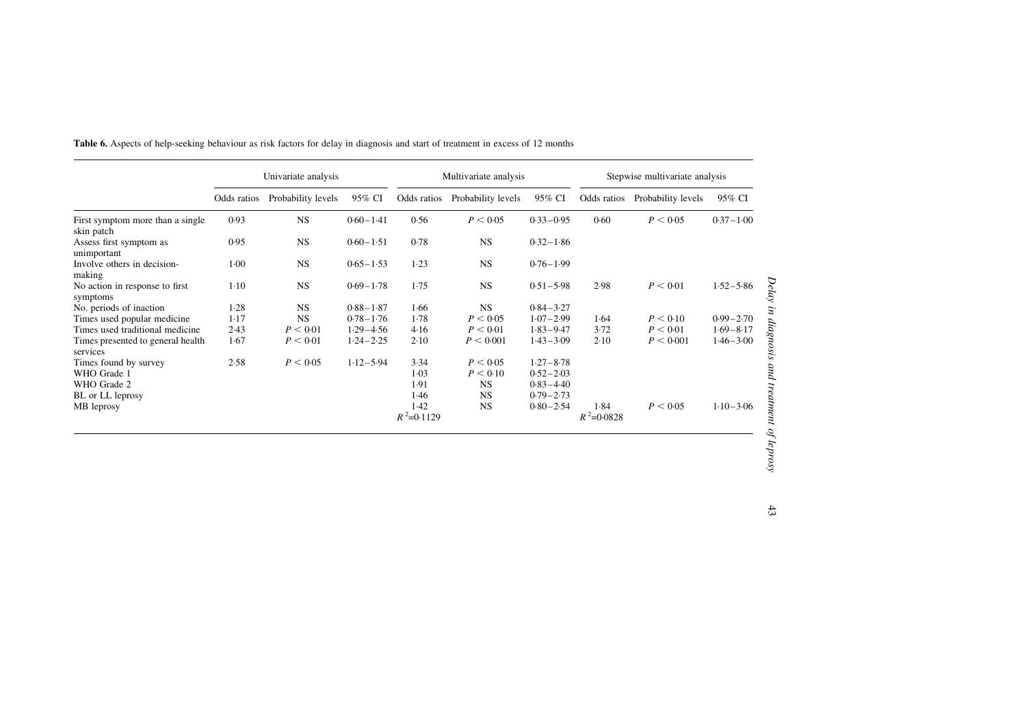|                                                | Univariate analysis |                    |               | Multivariate analysis |                    |               | Stepwise multivariate analysis |                                |               |
|------------------------------------------------|---------------------|--------------------|---------------|-----------------------|--------------------|---------------|--------------------------------|--------------------------------|---------------|
|                                                | Odds ratios         | Probability levels | 95% CI        | Odds ratios           | Probability levels | 95% CI        |                                | Odds ratios Probability levels | 95% CI        |
| First symptom more than a single<br>skin patch | 0.93                | <b>NS</b>          | $0.60 - 1.41$ | 0.56                  | P < 0.05           | $0.33 - 0.95$ | 0.60                           | P < 0.05                       | $0.37 - 1.00$ |
| Assess first symptom as<br>unimportant         | 0.95                | <b>NS</b>          | $0.60 - 1.51$ | 0.78                  | <b>NS</b>          | $0.32 - 1.86$ |                                |                                |               |
| Involve others in decision-<br>making          | $1 - 00$            | <b>NS</b>          | $0.65 - 1.53$ | 1.23                  | <b>NS</b>          | $0.76 - 1.99$ |                                |                                |               |
| No action in response to first<br>symptoms     | $1-10$              | <b>NS</b>          | $0.69 - 1.78$ | 1.75                  | <b>NS</b>          | $0.51 - 5.98$ | 2.98                           | P < 0.01                       | $1.52 - 5.86$ |
| No. periods of inaction                        | 1.28                | <b>NS</b>          | $0.88 - 1.87$ | 1.66                  | <b>NS</b>          | $0.84 - 3.27$ |                                |                                |               |
| Times used popular medicine                    | $1-17$              | <b>NS</b>          | $0.78 - 1.76$ | 1.78                  | P < 0.05           | $1.07 - 2.99$ | 1.64                           | P < 0.10                       | $0.99 - 2.70$ |
| Times used traditional medicine                | 2.43                | P < 0.01           | $1.29 - 4.56$ | 4.16                  | P < 0.01           | $1.83 - 9.47$ | 3.72                           | P < 0.01                       | $1.69 - 8.17$ |
| Times presented to general health.<br>services | 1.67                | P < 0.01           | $1.24 - 2.25$ | 2.10                  | P < 0.001          | $1.43 - 3.09$ | 2.10                           | P < 0.001                      | $1.46 - 3.00$ |
| Times found by survey                          | 2.58                | P < 0.05           | $1.12 - 5.94$ | 3.34                  | P < 0.05           | $1.27 - 8.78$ |                                |                                |               |
| WHO Grade 1                                    |                     |                    |               | $1-03$                | P < 0.10           | $0.52 - 2.03$ |                                |                                |               |
| WHO Grade 2                                    |                     |                    |               | 1.91                  | <b>NS</b>          | $0.83 - 4.40$ |                                |                                |               |
| BL or LL leprosy                               |                     |                    |               | 1.46                  | <b>NS</b>          | $0.79 - 2.73$ |                                |                                |               |
| MB leprosy                                     |                     |                    |               | 1.42                  | <b>NS</b>          | $0.80 - 2.54$ | 1.84                           | P < 0.05                       | $1.10 - 3.06$ |
|                                                |                     |                    |               | $R^2$ =0.1129         |                    |               | $R^2 = 0.0828$                 |                                |               |

<span id="page-8-0"></span>Table 6. Aspects of help-seeking behaviour as risk factors for delay in diagnosis and start of treatment in excess of 12 months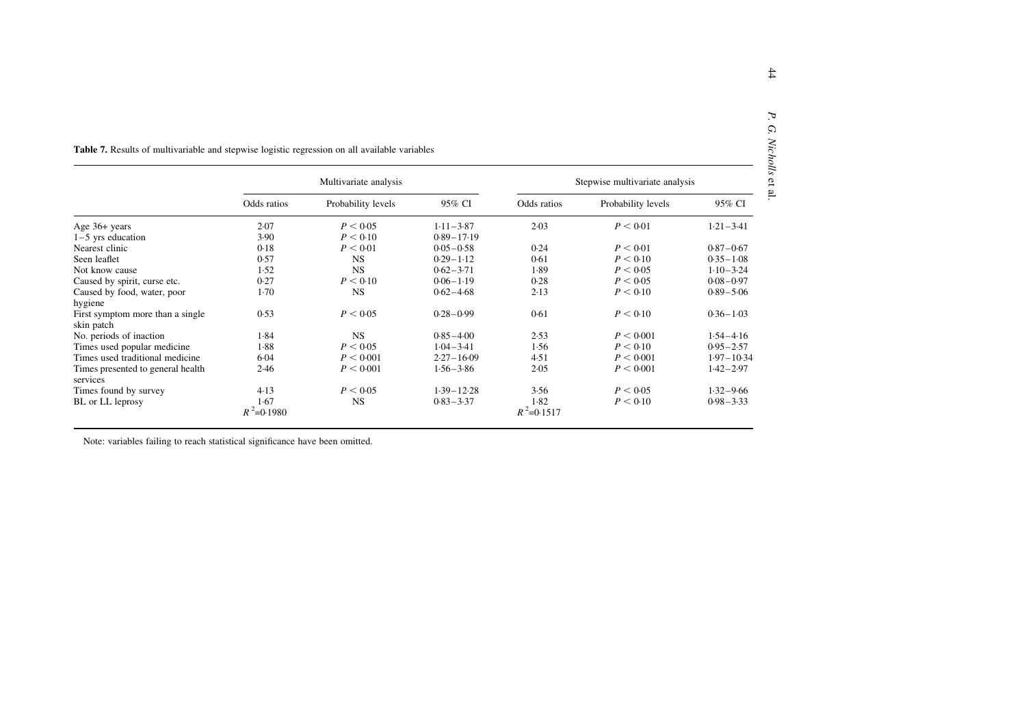<span id="page-9-0"></span>

|                                                | Multivariate analysis |                    |                |                       | Stepwise multivariate analysis |                |
|------------------------------------------------|-----------------------|--------------------|----------------|-----------------------|--------------------------------|----------------|
|                                                | Odds ratios           | Probability levels | 95% CI         | Odds ratios           | Probability levels             | 95% CI         |
| Age 36+ years                                  | 2.07                  | P < 0.05           | $1.11 - 3.87$  | 2.03                  | P < 0.01                       | $1.21 - 3.41$  |
| $1-5$ yrs education                            | 3.90                  | P < 0.10           | $0.89 - 17.19$ |                       |                                |                |
| Nearest clinic                                 | 0.18                  | P < 0.01           | $0.05 - 0.58$  | 0.24                  | P < 0.01                       | $0.87 - 0.67$  |
| Seen leaflet                                   | 0.57                  | <b>NS</b>          | $0.29 - 1.12$  | 0.61                  | P < 0.10                       | $0.35 - 1.08$  |
| Not know cause                                 | 1.52                  | <b>NS</b>          | $0.62 - 3.71$  | 1.89                  | P < 0.05                       | $1.10 - 3.24$  |
| Caused by spirit, curse etc.                   | 0.27                  | P < 0.10           | $0.06 - 1.19$  | 0.28                  | P < 0.05                       | $0.08 - 0.97$  |
| Caused by food, water, poor                    | $1-70$                | <b>NS</b>          | $0.62 - 4.68$  | 2.13                  | P < 0.10                       | $0.89 - 5.06$  |
| hygiene                                        |                       |                    |                |                       |                                |                |
| First symptom more than a single<br>skin patch | 0.53                  | P < 0.05           | $0.28 - 0.99$  | 0.61                  | P < 0.10                       | $0.36 - 1.03$  |
| No. periods of inaction                        | 1.84                  | <b>NS</b>          | $0.85 - 4.00$  | 2.53                  | P < 0.001                      | $1.54 - 4.16$  |
| Times used popular medicine                    | 1.88                  | P < 0.05           | $1.04 - 3.41$  | 1.56                  | P < 0.10                       | $0.95 - 2.57$  |
| Times used traditional medicine                | 6.04                  | P < 0.001          | $2.27 - 16.09$ | 4.51                  | P < 0.001                      | $1.97 - 10.34$ |
| Times presented to general health<br>services  | 2.46                  | P < 0.001          | $1.56 - 3.86$  | 2.05                  | P < 0.001                      | $1.42 - 2.97$  |
| Times found by survey                          | 4.13                  | P < 0.05           | $1.39 - 12.28$ | 3.56                  | P < 0.05                       | $1.32 - 9.66$  |
| BL or LL leprosy                               | 1.67<br>$R^2$ =0.1980 | <b>NS</b>          | $0.83 - 3.37$  | 1.82<br>$R^2$ =0.1517 | P < 0.10                       | $0.98 - 3.33$  |

Note: variables failing to reach statistical significance have been omitted.

P. G. Nicholls

 $\mathbb{P}.$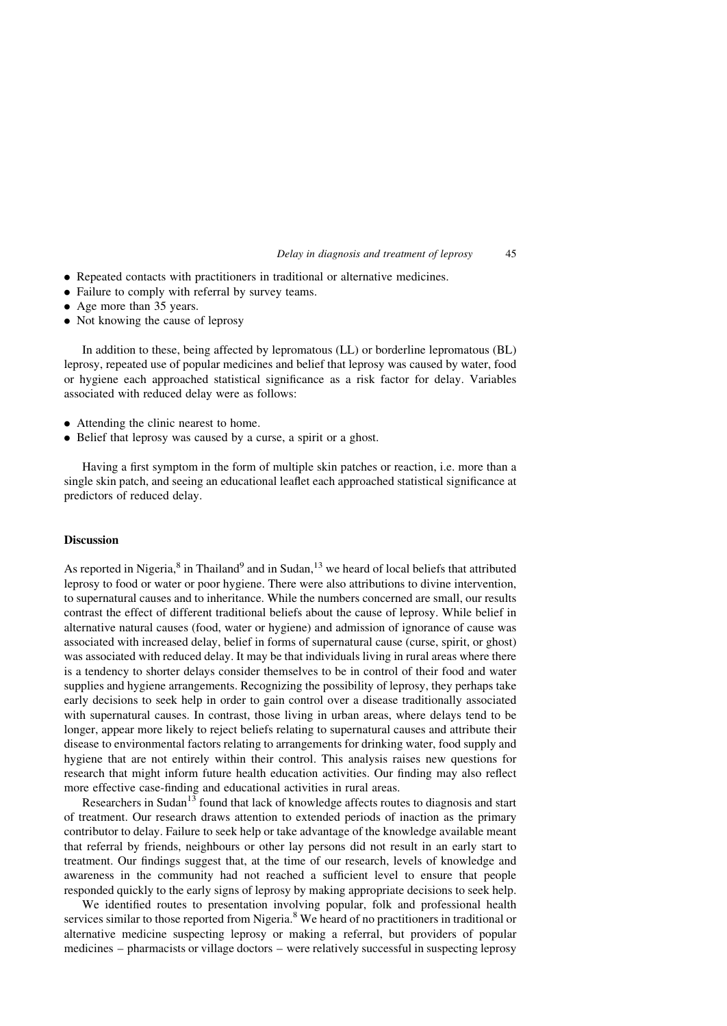Delay in diagnosis and treatment of leprosy 45

- . Repeated contacts with practitioners in traditional or alternative medicines.
- . Failure to comply with referral by survey teams.
- . Age more than 35 years.
- Not knowing the cause of leprosy

In addition to these, being affected by lepromatous (LL) or borderline lepromatous (BL) leprosy, repeated use of popular medicines and belief that leprosy was caused by water, food or hygiene each approached statistical significance as a risk factor for delay. Variables associated with reduced delay were as follows:

- . Attending the clinic nearest to home.
- . Belief that leprosy was caused by a curse, a spirit or a ghost.

Having a first symptom in the form of multiple skin patches or reaction, i.e. more than a single skin patch, and seeing an educational leaflet each approached statistical significance at predictors of reduced delay.

## **Discussion**

As reported in Nigeria,<sup>[8](#page-12-0)</sup> in Thailand<sup>[9](#page-12-0)</sup> and in Sudan,<sup>[13](#page-12-0)</sup> we heard of local beliefs that attributed leprosy to food or water or poor hygiene. There were also attributions to divine intervention, to supernatural causes and to inheritance. While the numbers concerned are small, our results contrast the effect of different traditional beliefs about the cause of leprosy. While belief in alternative natural causes (food, water or hygiene) and admission of ignorance of cause was associated with increased delay, belief in forms of supernatural cause (curse, spirit, or ghost) was associated with reduced delay. It may be that individuals living in rural areas where there is a tendency to shorter delays consider themselves to be in control of their food and water supplies and hygiene arrangements. Recognizing the possibility of leprosy, they perhaps take early decisions to seek help in order to gain control over a disease traditionally associated with supernatural causes. In contrast, those living in urban areas, where delays tend to be longer, appear more likely to reject beliefs relating to supernatural causes and attribute their disease to environmental factors relating to arrangements for drinking water, food supply and hygiene that are not entirely within their control. This analysis raises new questions for research that might inform future health education activities. Our finding may also reflect more effective case-finding and educational activities in rural areas.

Researchers in Sudan<sup>[13](#page-12-0)</sup> found that lack of knowledge affects routes to diagnosis and start of treatment. Our research draws attention to extended periods of inaction as the primary contributor to delay. Failure to seek help or take advantage of the knowledge available meant that referral by friends, neighbours or other lay persons did not result in an early start to treatment. Our findings suggest that, at the time of our research, levels of knowledge and awareness in the community had not reached a sufficient level to ensure that people responded quickly to the early signs of leprosy by making appropriate decisions to seek help.

We identified routes to presentation involving popular, folk and professional health services similar to those reported from Nigeria.<sup>[8](#page-12-0)</sup> We heard of no practitioners in traditional or alternative medicine suspecting leprosy or making a referral, but providers of popular medicines – pharmacists or village doctors – were relatively successful in suspecting leprosy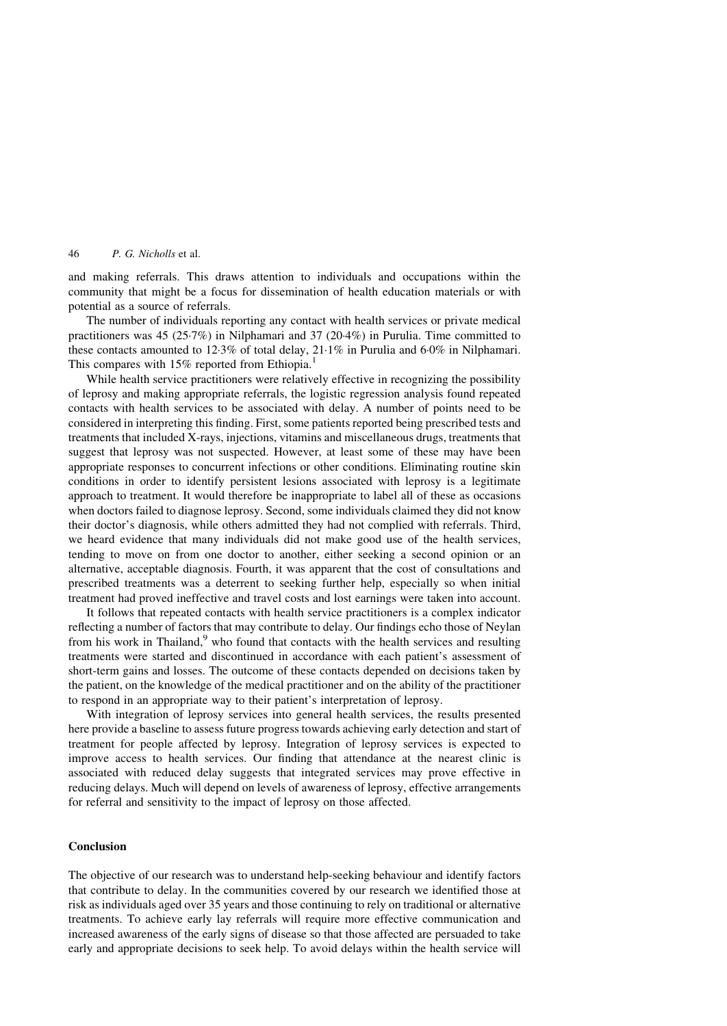and making referrals. This draws attention to individuals and occupations within the community that might be a focus for dissemination of health education materials or with potential as a source of referrals.

The number of individuals reporting any contact with health services or private medical practitioners was 45 (25·7%) in Nilphamari and 37 (20·4%) in Purulia. Time committed to these contacts amounted to 12·3% of total delay, 21·1% in Purulia and 6·0% in Nilphamari. This compares with  $15\%$  $15\%$  reported from Ethiopia.<sup>1</sup>

While health service practitioners were relatively effective in recognizing the possibility of leprosy and making appropriate referrals, the logistic regression analysis found repeated contacts with health services to be associated with delay. A number of points need to be considered in interpreting this finding. First, some patients reported being prescribed tests and treatments that included X-rays, injections, vitamins and miscellaneous drugs, treatments that suggest that leprosy was not suspected. However, at least some of these may have been appropriate responses to concurrent infections or other conditions. Eliminating routine skin conditions in order to identify persistent lesions associated with leprosy is a legitimate approach to treatment. It would therefore be inappropriate to label all of these as occasions when doctors failed to diagnose leprosy. Second, some individuals claimed they did not know their doctor's diagnosis, while others admitted they had not complied with referrals. Third, we heard evidence that many individuals did not make good use of the health services, tending to move on from one doctor to another, either seeking a second opinion or an alternative, acceptable diagnosis. Fourth, it was apparent that the cost of consultations and prescribed treatments was a deterrent to seeking further help, especially so when initial treatment had proved ineffective and travel costs and lost earnings were taken into account.

It follows that repeated contacts with health service practitioners is a complex indicator reflecting a number of factors that may contribute to delay. Our findings echo those of Neylan from his work in Thailand, $9$  who found that contacts with the health services and resulting treatments were started and discontinued in accordance with each patient's assessment of short-term gains and losses. The outcome of these contacts depended on decisions taken by the patient, on the knowledge of the medical practitioner and on the ability of the practitioner to respond in an appropriate way to their patient's interpretation of leprosy.

With integration of leprosy services into general health services, the results presented here provide a baseline to assess future progress towards achieving early detection and start of treatment for people affected by leprosy. Integration of leprosy services is expected to improve access to health services. Our finding that attendance at the nearest clinic is associated with reduced delay suggests that integrated services may prove effective in reducing delays. Much will depend on levels of awareness of leprosy, effective arrangements for referral and sensitivity to the impact of leprosy on those affected.

## Conclusion

The objective of our research was to understand help-seeking behaviour and identify factors that contribute to delay. In the communities covered by our research we identified those at risk as individuals aged over 35 years and those continuing to rely on traditional or alternative treatments. To achieve early lay referrals will require more effective communication and increased awareness of the early signs of disease so that those affected are persuaded to take early and appropriate decisions to seek help. To avoid delays within the health service will